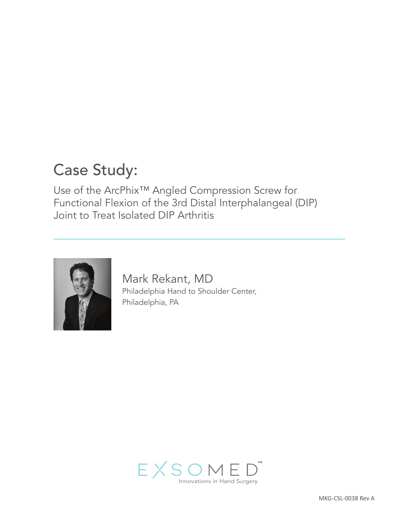# Case Study:

Use of the ArcPhix™ Angled Compression Screw for Functional Flexion of the 3rd Distal Interphalangeal (DIP) Joint to Treat Isolated DIP Arthritis



Mark Rekant, MD Philadelphia Hand to Shoulder Center, Philadelphia, PA

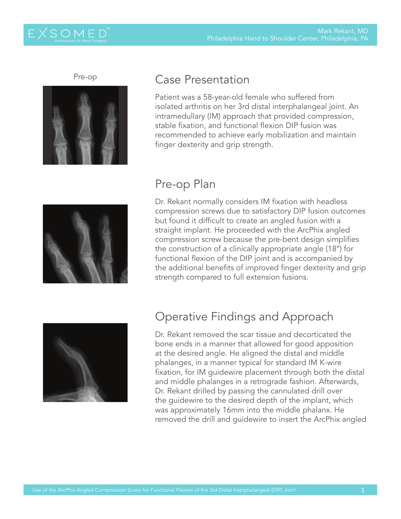#### Pre-op



### Case Presentation

Patient was a 58-year-old female who suffered from isolated arthritis on her 3rd distal interphalangeal joint. An intramedullary (IM) approach that provided compression, stable fixation, and functional flexion DIP fusion was recommended to achieve early mobilization and maintain finger dexterity and grip strength.



## Pre-op Plan

Dr. Rekant normally considers IM fixation with headless compression screws due to satisfactory DIP fusion outcomes but found it difficult to create an angled fusion with a straight implant. He proceeded with the ArcPhix angled compression screw because the pre-bent design simplifies the construction of a clinically appropriate angle (18°) for functional flexion of the DIP joint and is accompanied by the additional benefits of improved finger dexterity and grip strength compared to full extension fusions.



## Operative Findings and Approach

Dr. Rekant removed the scar tissue and decorticated the bone ends in a manner that allowed for good apposition at the desired angle. He aligned the distal and middle phalanges, in a manner typical for standard IM K-wire fixation, for IM guidewire placement through both the distal and middle phalanges in a retrograde fashion. Afterwards, Dr. Rekant drilled by passing the cannulated drill over the guidewire to the desired depth of the implant, which was approximately 16mm into the middle phalanx. He removed the drill and guidewire to insert the ArcPhix angled